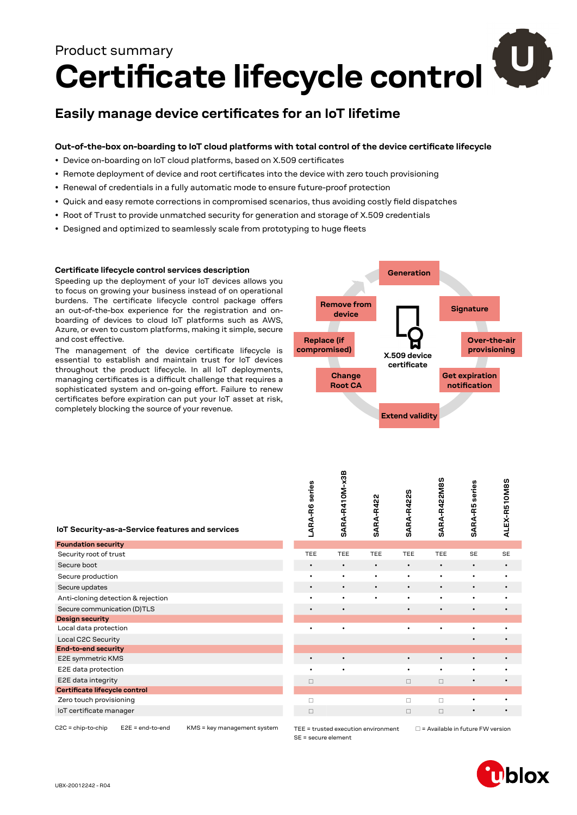# **Certificate lifecycle control** Product summary

## **Easily manage device certificates for an IoT lifetime**

#### **Out-of-the-box on-boarding to IoT cloud platforms with total control of the device certificate lifecycle**

- Device on-boarding on IoT cloud platforms, based on X.509 certificates
- Remote deployment of device and root certificates into the device with zero touch provisioning
- Renewal of credentials in a fully automatic mode to ensure future-proof protection
- Quick and easy remote corrections in compromised scenarios, thus avoiding costly field dispatches
- Root of Trust to provide unmatched security for generation and storage of X.509 credentials
- Designed and optimized to seamlessly scale from prototyping to huge fleets

#### **Certificate lifecycle control services description**

Speeding up the deployment of your IoT devices allows you to focus on growing your business instead of on operational burdens. The certificate lifecycle control package offers an out-of-the-box experience for the registration and onboarding of devices to cloud IoT platforms such as AWS, Azure, or even to custom platforms, making it simple, secure and cost effective.

The management of the device certificate lifecycle is essential to establish and maintain trust for IoT devices throughout the product lifecycle. In all IoT deployments, managing certificates is a difficult challenge that requires a sophisticated system and on-going effort. Failure to renew certificates before expiration can put your IoT asset at risk, completely blocking the source of your revenue.



| IoT Security-as-a-Service features and services | \$e<br>ARA-R6 | SARA-R410M | <b>SARA-R422</b> | ທ<br><b>SARA-R422</b> | SARA-R422M | eeri<br>SARA-R5 | ALEX-R510M |
|-------------------------------------------------|---------------|------------|------------------|-----------------------|------------|-----------------|------------|
| <b>Foundation security</b>                      |               |            |                  |                       |            |                 |            |
| Security root of trust                          | <b>TEE</b>    | <b>TEE</b> | TEE              | <b>TEE</b>            | <b>TEE</b> | <b>SE</b>       | <b>SE</b>  |
| Secure boot                                     | $\bullet$     | $\bullet$  | $\bullet$        | $\bullet$             | $\bullet$  | $\bullet$       | $\bullet$  |
| Secure production                               | ٠             | $\bullet$  | $\bullet$        | $\bullet$             | $\bullet$  | $\bullet$       | ٠          |
| Secure updates                                  | $\bullet$     | $\bullet$  | $\bullet$        | $\bullet$             | $\bullet$  | $\bullet$       | $\bullet$  |
| Anti-cloning detection & rejection              | ٠             | $\bullet$  | ٠                | ٠                     | $\bullet$  | ٠               | ٠          |
| Secure communication (D)TLS                     | $\bullet$     | $\bullet$  |                  | $\bullet$             | $\bullet$  | ٠               | $\bullet$  |
| <b>Design security</b>                          |               |            |                  |                       |            |                 |            |
| Local data protection                           |               |            |                  | ٠                     |            | ٠               |            |
| Local C2C Security                              |               |            |                  |                       |            | ٠               | $\bullet$  |
| <b>End-to-end security</b>                      |               |            |                  |                       |            |                 |            |
| E2E symmetric KMS                               |               | $\bullet$  |                  | ٠                     | $\bullet$  | $\bullet$       |            |
| E2E data protection                             | ٠             | $\bullet$  |                  | $\bullet$             | $\bullet$  | ٠               | ٠          |
| E2E data integrity                              | $\Box$        |            |                  | $\Box$                | $\Box$     | $\bullet$       | $\bullet$  |
| Certificate lifecycle control                   |               |            |                  |                       |            |                 |            |
| Zero touch provisioning                         | $\Box$        |            |                  | П                     | П          |                 | ٠          |
| loT certificate manager                         | $\Box$        |            |                  | $\Box$                | $\Box$     | ٠               | $\bullet$  |
|                                                 |               |            |                  |                       |            |                 |            |

| LARA-R6 series | SARA-R410M-x3B | <b>SARA-R422</b> | SARA-R422S | SARA-R422M8S | <b>SARA-R5</b> series | ALEX-R510M8S |
|----------------|----------------|------------------|------------|--------------|-----------------------|--------------|
| TEE            | TEE            | TEE              | TEE        | TEE          | SE                    | SE           |
| $\bullet$      | $\bullet$      | $\bullet$        | $\bullet$  | $\bullet$    | $\bullet$             | $\bullet$    |
| $\bullet$      | $\bullet$      |                  | $\bullet$  |              |                       |              |
|                |                |                  |            |              |                       |              |
|                |                |                  | $\bullet$  |              | $\bullet$             |              |
|                |                |                  | $\bullet$  |              |                       |              |
|                |                |                  |            |              |                       |              |
|                | $\bullet$      |                  | ۰          |              |                       |              |
|                |                |                  |            |              | $\bullet$             |              |
| $\bullet$      |                |                  | $\bullet$  | ٠            | ٠                     |              |
|                | $\bullet$      |                  |            |              |                       |              |
| $\Box$         |                |                  | $\Box$     | $\Box$       | $\bullet$             |              |
|                |                |                  |            |              |                       |              |
| $\Box$         |                |                  | $\Box$     | $\Box$       |                       |              |
| $\Box$         |                |                  | $\Box$     | $\square$    | $\bullet$             |              |
|                |                |                  |            |              |                       |              |

C2C = chip-to-chip E2E = end-to-end KMS = key management system

SE = secure element

TEE = trusted execution environment  $\Box$  = Available in future FW version